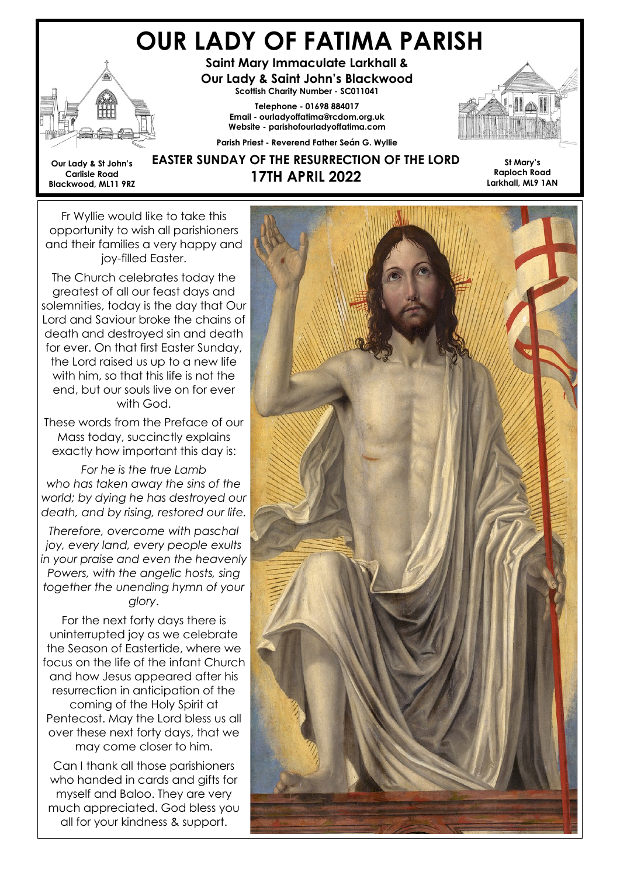# OUR LADY OF FATIMA PARISH



Our Lady & St John's Carlisle Road Blackwood, ML11 9RZ

Saint Mary Immaculate Larkhall & Our Lady & Saint John's Blackwood Scottish Charity Number - SC011041

> Telephone - 01698 884017 Email - ourladyoffatima@rcdom.org.uk Website - parishofourladyoffatima.com

Parish Priest - Reverend Father Seán G. Wyllie



#### EASTER SUNDAY OF THE RESURRECTION OF THE LORD 17TH APRIL 2022

St Mary's Raploch Road Larkhall, ML9 1AN

Fr Wyllie would like to take this opportunity to wish all parishioners and their families a very happy and joy-filled Easter.

The Church celebrates today the greatest of all our feast days and solemnities, today is the day that Our Lord and Saviour broke the chains of death and destroyed sin and death for ever. On that first Easter Sunday, the Lord raised us up to a new life with him, so that this life is not the end, but our souls live on for ever with God.

These words from the Preface of our Mass today, succinctly explains exactly how important this day is:

For he is the true Lamb who has taken away the sins of the world; by dying he has destroyed our death, and by rising, restored our life.

Therefore, overcome with paschal joy, every land, every people exults in your praise and even the heavenly Powers, with the angelic hosts, sing together the unending hymn of your glory.

For the next forty days there is uninterrupted joy as we celebrate the Season of Eastertide, where we focus on the life of the infant Church and how Jesus appeared after his resurrection in anticipation of the coming of the Holy Spirit at Pentecost. May the Lord bless us all over these next forty days, that we may come closer to him.

Can I thank all those parishioners who handed in cards and gifts for myself and Baloo. They are very much appreciated. God bless you all for your kindness & support.

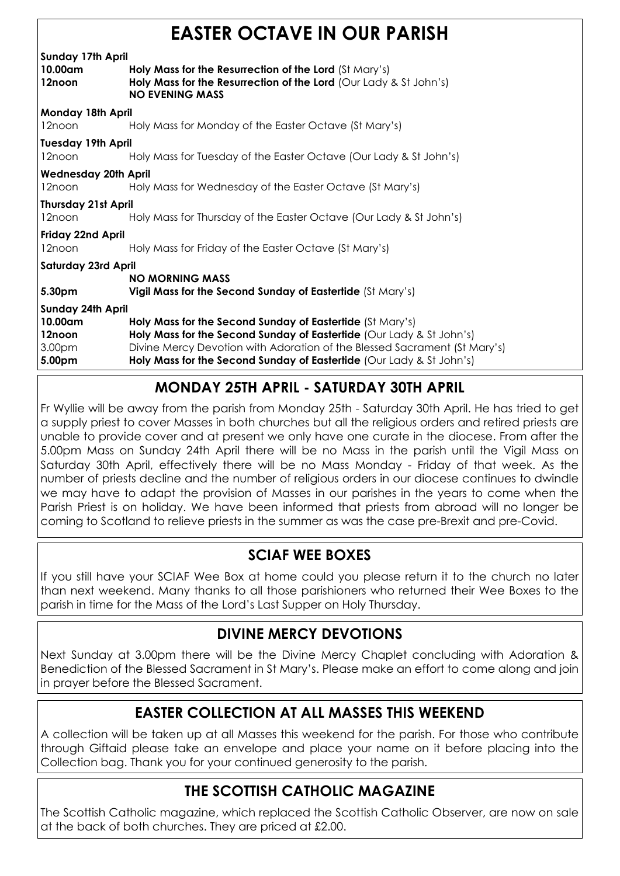## EASTER OCTAVE IN OUR PARISH

| E/ \V I E I\   \V \V I / \ Y E   II \   \V \V I\   I  /  \I\I \V I |                                                                                                                                                       |  |
|--------------------------------------------------------------------|-------------------------------------------------------------------------------------------------------------------------------------------------------|--|
| <b>Sunday 17th April</b>                                           |                                                                                                                                                       |  |
| 10.00am<br>12noon                                                  | Holy Mass for the Resurrection of the Lord (St Mary's)<br>Holy Mass for the Resurrection of the Lord (Our Lady & St John's)<br><b>NO EVENING MASS</b> |  |
| Monday 18th April                                                  |                                                                                                                                                       |  |
| 12noon                                                             | Holy Mass for Monday of the Easter Octave (St Mary's)                                                                                                 |  |
| <b>Tuesday 19th April</b>                                          |                                                                                                                                                       |  |
| 12noon                                                             | Holy Mass for Tuesday of the Easter Octave (Our Lady & St John's)                                                                                     |  |
| <b>Wednesday 20th April</b>                                        |                                                                                                                                                       |  |
| 12noon                                                             | Holy Mass for Wednesday of the Easter Octave (St Mary's)                                                                                              |  |
| <b>Thursday 21st April</b>                                         |                                                                                                                                                       |  |
| 12noon                                                             | Holy Mass for Thursday of the Easter Octave (Our Lady & St John's)                                                                                    |  |
| Friday 22nd April                                                  |                                                                                                                                                       |  |
| 12noon                                                             | Holy Mass for Friday of the Easter Octave (St Mary's)                                                                                                 |  |
| <b>Saturday 23rd April</b>                                         |                                                                                                                                                       |  |
|                                                                    | <b>NO MORNING MASS</b>                                                                                                                                |  |
| 5.30pm                                                             | Vigil Mass for the Second Sunday of Eastertide (St Mary's)                                                                                            |  |
| <b>Sunday 24th April</b>                                           |                                                                                                                                                       |  |
| 10.00am                                                            | Holy Mass for the Second Sunday of Eastertide (St Mary's)                                                                                             |  |
| 12noon                                                             | Holy Mass for the Second Sunday of Eastertide (Our Lady & St John's)                                                                                  |  |
| 3.00 <sub>pm</sub>                                                 | Divine Mercy Devotion with Adoration of the Blessed Sacrament (St Mary's)                                                                             |  |
| 5.00pm                                                             | Holy Mass for the Second Sunday of Eastertide (Our Lady & St John's)                                                                                  |  |

#### MONDAY 25TH APRIL - SATURDAY 30TH APRIL

Fr Wyllie will be away from the parish from Monday 25th - Saturday 30th April. He has tried to get a supply priest to cover Masses in both churches but all the religious orders and retired priests are unable to provide cover and at present we only have one curate in the diocese. From after the 5.00pm Mass on Sunday 24th April there will be no Mass in the parish until the Vigil Mass on Saturday 30th April, effectively there will be no Mass Monday - Friday of that week. As the number of priests decline and the number of religious orders in our diocese continues to dwindle we may have to adapt the provision of Masses in our parishes in the years to come when the Parish Priest is on holiday. We have been informed that priests from abroad will no longer be coming to Scotland to relieve priests in the summer as was the case pre-Brexit and pre-Covid.

#### SCIAF WEE BOXES

If you still have your SCIAF Wee Box at home could you please return it to the church no later than next weekend. Many thanks to all those parishioners who returned their Wee Boxes to the parish in time for the Mass of the Lord's Last Supper on Holy Thursday.

#### DIVINE MERCY DEVOTIONS

Next Sunday at 3.00pm there will be the Divine Mercy Chaplet concluding with Adoration & Benediction of the Blessed Sacrament in St Mary's. Please make an effort to come along and join in prayer before the Blessed Sacrament.

#### EASTER COLLECTION AT ALL MASSES THIS WEEKEND

A collection will be taken up at all Masses this weekend for the parish. For those who contribute through Giftaid please take an envelope and place your name on it before placing into the Collection bag. Thank you for your continued generosity to the parish.

### THE SCOTTISH CATHOLIC MAGAZINE

The Scottish Catholic magazine, which replaced the Scottish Catholic Observer, are now on sale at the back of both churches. They are priced at £2.00.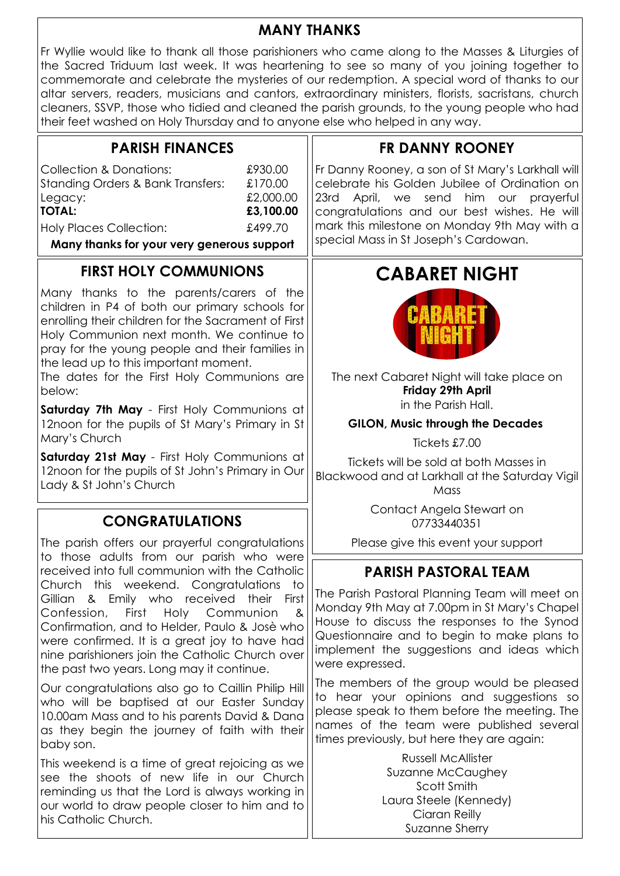#### MANY THANKS

Fr Wyllie would like to thank all those parishioners who came along to the Masses & Liturgies of the Sacred Triduum last week. It was heartening to see so many of you joining together to commemorate and celebrate the mysteries of our redemption. A special word of thanks to our altar servers, readers, musicians and cantors, extraordinary ministers, florists, sacristans, church cleaners, SSVP, those who tidied and cleaned the parish grounds, to the young people who had their feet washed on Holy Thursday and to anyone else who helped in any way.

| <b>PARISH FINANCES</b>                                                                                                                                                                                                                                                                                                                  | <b>FR DANNY ROONEY</b>                                                                                                                                                                                                                                                               |
|-----------------------------------------------------------------------------------------------------------------------------------------------------------------------------------------------------------------------------------------------------------------------------------------------------------------------------------------|--------------------------------------------------------------------------------------------------------------------------------------------------------------------------------------------------------------------------------------------------------------------------------------|
| <b>Collection &amp; Donations:</b><br>£930.00<br><b>Standing Orders &amp; Bank Transfers:</b><br>£170.00<br>£2,000.00<br>Legacy:<br><b>TOTAL:</b><br>£3,100.00<br>£499.70<br><b>Holy Places Collection:</b><br>Many thanks for your very generous support                                                                               | Fr Danny Rooney, a son of St Mary's Larkhall will<br>celebrate his Golden Jubilee of Ordination on<br>23rd April, we send him our prayerful<br>congratulations and our best wishes. He will<br>mark this milestone on Monday 9th May with a<br>special Mass in St Joseph's Cardowan. |
| <b>FIRST HOLY COMMUNIONS</b>                                                                                                                                                                                                                                                                                                            | <b>CABARET NIGHT</b>                                                                                                                                                                                                                                                                 |
| Many thanks to the parents/carers of the<br>children in P4 of both our primary schools for<br>enrolling their children for the Sacrament of First<br>Holy Communion next month. We continue to<br>pray for the young people and their families in<br>the lead up to this important moment.                                              |                                                                                                                                                                                                                                                                                      |
| The dates for the First Holy Communions are<br>below:<br>Saturday 7th May - First Holy Communions at                                                                                                                                                                                                                                    | The next Cabaret Night will take place on<br>Friday 29th April<br>in the Parish Hall.                                                                                                                                                                                                |
| 12noon for the pupils of St Mary's Primary in St                                                                                                                                                                                                                                                                                        | <b>GILON, Music through the Decades</b>                                                                                                                                                                                                                                              |
| Mary's Church                                                                                                                                                                                                                                                                                                                           | Tickets £7.00                                                                                                                                                                                                                                                                        |
| Saturday 21st May - First Holy Communions at<br>12noon for the pupils of St John's Primary in Our<br>Lady & St John's Church                                                                                                                                                                                                            | Tickets will be sold at both Masses in<br>Blackwood and at Larkhall at the Saturday Vigil<br>Mass                                                                                                                                                                                    |
| <b>CONGRATULATIONS</b>                                                                                                                                                                                                                                                                                                                  | Contact Angela Stewart on<br>07733440351                                                                                                                                                                                                                                             |
| The parish offers our prayerful congratulations                                                                                                                                                                                                                                                                                         | Please give this event your support                                                                                                                                                                                                                                                  |
| to those adults from our parish who were<br>received into full communion with the Catholic                                                                                                                                                                                                                                              | <b>PARISH PASTORAL TEAM</b>                                                                                                                                                                                                                                                          |
| Church this weekend. Congratulations to<br>Gillian & Emily who received their First<br>First<br>Holy<br>Communion<br>Confession,<br>&<br>Confirmation, and to Helder, Paulo & Josè who<br>were confirmed. It is a great joy to have had<br>nine parishioners join the Catholic Church over<br>the past two years. Long may it continue. | The Parish Pastoral Planning Team will meet on<br>Monday 9th May at 7.00pm in St Mary's Chapel<br>House to discuss the responses to the Synod<br>Questionnaire and to begin to make plans to<br>implement the suggestions and ideas which<br>were expressed.                         |
| Our congratulations also go to Caillin Philip Hill<br>who will be baptised at our Easter Sunday<br>10.00am Mass and to his parents David & Dana<br>as they begin the journey of faith with their<br>baby son.                                                                                                                           | The members of the group would be pleased<br>to hear your opinions and suggestions so<br>please speak to them before the meeting. The<br>names of the team were published several<br>times previously, but here they are again:                                                      |
| This weekend is a time of great rejoicing as we<br>see the shoots of new life in our Church<br>reminding us that the Lord is always working in<br>our world to draw people closer to him and to<br>his Catholic Church.                                                                                                                 | <b>Russell McAllister</b><br>Suzanne McCaughey<br>Scott Smith<br>Laura Steele (Kennedy)<br>Ciaran Reilly<br>Suzanne Sherry                                                                                                                                                           |